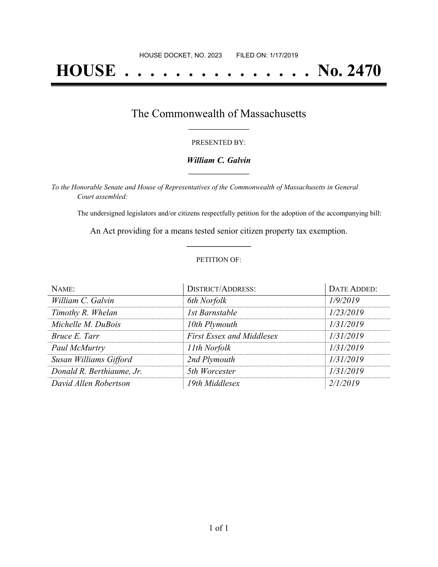# **HOUSE . . . . . . . . . . . . . . . No. 2470**

## The Commonwealth of Massachusetts **\_\_\_\_\_\_\_\_\_\_\_\_\_\_\_\_\_**

#### PRESENTED BY:

#### *William C. Galvin* **\_\_\_\_\_\_\_\_\_\_\_\_\_\_\_\_\_**

*To the Honorable Senate and House of Representatives of the Commonwealth of Massachusetts in General Court assembled:*

The undersigned legislators and/or citizens respectfully petition for the adoption of the accompanying bill:

An Act providing for a means tested senior citizen property tax exemption. **\_\_\_\_\_\_\_\_\_\_\_\_\_\_\_**

#### PETITION OF:

| NAME:                     | <b>DISTRICT/ADDRESS:</b>         | DATE ADDED: |
|---------------------------|----------------------------------|-------------|
| William C. Galvin         | 6th Norfolk                      | 1/9/2019    |
| Timothy R. Whelan         | 1st Barnstable                   | 1/23/2019   |
| Michelle M. DuBois        | 10th Plymouth                    | 1/31/2019   |
| Bruce E. Tarr             | <b>First Essex and Middlesex</b> | 1/31/2019   |
| Paul McMurtry             | 11th Norfolk                     | 1/31/2019   |
| Susan Williams Gifford    | 2nd Plymouth                     | 1/31/2019   |
| Donald R. Berthiaume, Jr. | 5th Worcester                    | 1/31/2019   |
| David Allen Robertson     | 19th Middlesex                   | 2/1/2019    |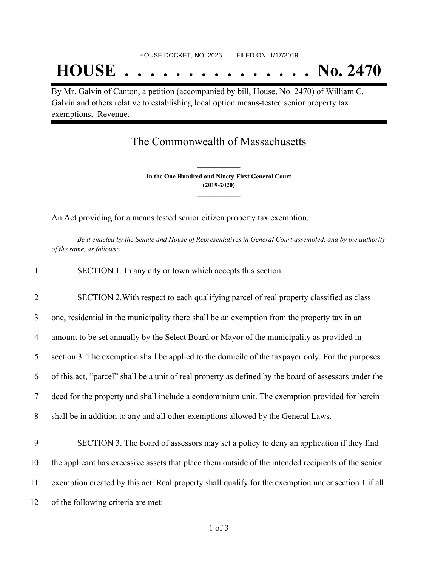## **HOUSE . . . . . . . . . . . . . . . No. 2470**

By Mr. Galvin of Canton, a petition (accompanied by bill, House, No. 2470) of William C. Galvin and others relative to establishing local option means-tested senior property tax exemptions. Revenue.

## The Commonwealth of Massachusetts

**In the One Hundred and Ninety-First General Court (2019-2020) \_\_\_\_\_\_\_\_\_\_\_\_\_\_\_**

**\_\_\_\_\_\_\_\_\_\_\_\_\_\_\_**

An Act providing for a means tested senior citizen property tax exemption.

Be it enacted by the Senate and House of Representatives in General Court assembled, and by the authority *of the same, as follows:*

| SECTION 1. In any city or town which accepts this section. |  |
|------------------------------------------------------------|--|
|------------------------------------------------------------|--|

 SECTION 2.With respect to each qualifying parcel of real property classified as class one, residential in the municipality there shall be an exemption from the property tax in an amount to be set annually by the Select Board or Mayor of the municipality as provided in section 3. The exemption shall be applied to the domicile of the taxpayer only. For the purposes of this act, "parcel" shall be a unit of real property as defined by the board of assessors under the deed for the property and shall include a condominium unit. The exemption provided for herein shall be in addition to any and all other exemptions allowed by the General Laws.

 SECTION 3. The board of assessors may set a policy to deny an application if they find the applicant has excessive assets that place them outside of the intended recipients of the senior exemption created by this act. Real property shall qualify for the exemption under section 1 if all of the following criteria are met: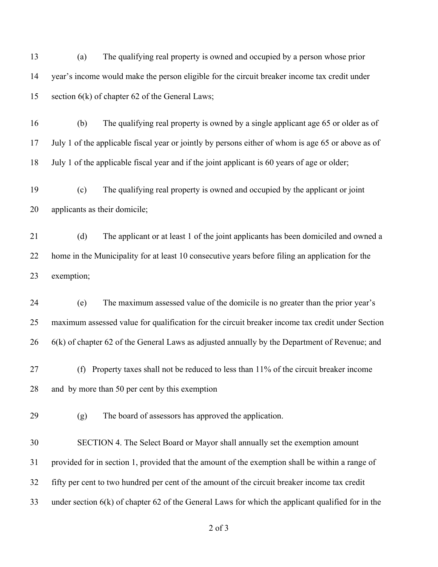(a) The qualifying real property is owned and occupied by a person whose prior year's income would make the person eligible for the circuit breaker income tax credit under section 6(k) of chapter 62 of the General Laws;

 (b) The qualifying real property is owned by a single applicant age 65 or older as of July 1 of the applicable fiscal year or jointly by persons either of whom is age 65 or above as of July 1 of the applicable fiscal year and if the joint applicant is 60 years of age or older;

 (c) The qualifying real property is owned and occupied by the applicant or joint applicants as their domicile;

 (d) The applicant or at least 1 of the joint applicants has been domiciled and owned a home in the Municipality for at least 10 consecutive years before filing an application for the exemption;

 (e) The maximum assessed value of the domicile is no greater than the prior year's maximum assessed value for qualification for the circuit breaker income tax credit under Section 6(k) of chapter 62 of the General Laws as adjusted annually by the Department of Revenue; and

 (f) Property taxes shall not be reduced to less than 11% of the circuit breaker income and by more than 50 per cent by this exemption

(g) The board of assessors has approved the application.

 SECTION 4. The Select Board or Mayor shall annually set the exemption amount provided for in section 1, provided that the amount of the exemption shall be within a range of fifty per cent to two hundred per cent of the amount of the circuit breaker income tax credit under section 6(k) of chapter 62 of the General Laws for which the applicant qualified for in the

of 3